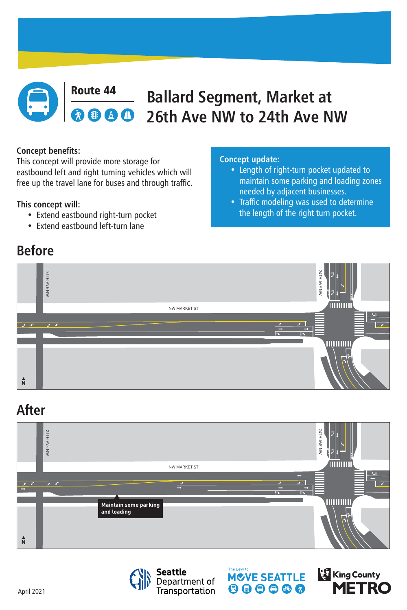April 2021



### **Route 44 Ballard Segment, Market at <br>
8 8 8 8 26th Ave NW to 24th Ave N 26th Ave NW to 24th Ave NW**

# **Before**

## **After**



#### **Concept benefits:**

This concept will provide more storage for eastbound left and right turning vehicles which will free up the travel lane for buses and through traffic.

### **This concept will:**

- Extend eastbound right-turn pocket
- Extend eastbound left-turn lane









#### **Concept update:**

- Length of right-turn pocket updated to maintain some parking and loading zones needed by adjacent businesses.
- Traffic modeling was used to determine

#### the length of the right turn pocket.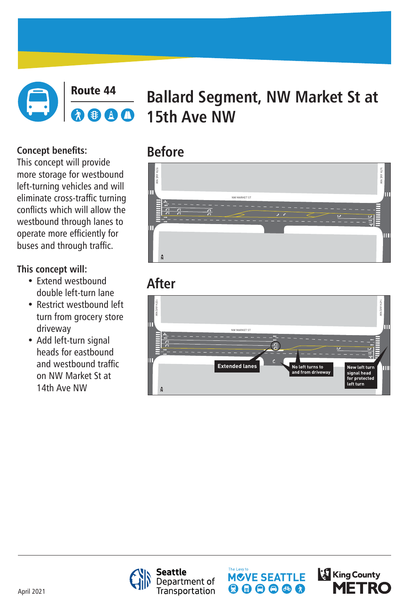April 2021



### Route 44 **Ballard Segment, NW Market St at**  AD **15th Ave NW**

# **Before**

# **After**





**Seattle** Department of<br>Transportation





**Concept benefits:** This concept will provide more storage for westbound left-turning vehicles and will eliminate cross-traffic turning conflicts which will allow the westbound through lanes to operate more efficiently for buses and through traffic.

## **This concept will:**

- Extend westbound double left-turn lane
- Restrict westbound left turn from grocery store driveway
- Add left-turn signal heads for eastbound and westbound traffic on NW Market St at 14th Ave NW